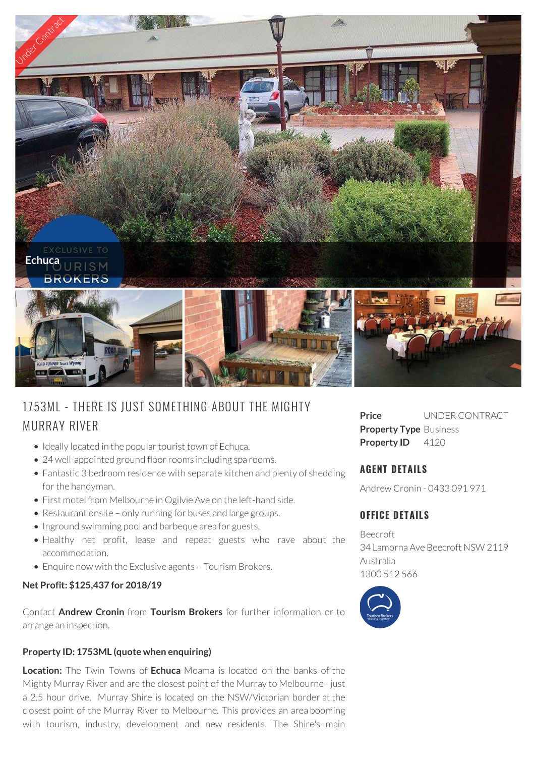

# 1753ML - THERE IS JUST SOMETHING ABOUT THE MIGHTY MURRAY RIVER

- Ideally located in the popular tourist town of Echuca.
- 24 well-appointed ground floor rooms including spa rooms.
- Fantastic 3 bedroom residence with separate kitchen and plenty of shedding for the handyman.
- First motel from Melbourne in Ogilvie Ave on the left-hand side.
- Restaurant onsite only running for buses and large groups.
- Inground swimming pool and barbeque area for guests.
- Healthy net profit, lease and repeat guests who rave about the accommodation.
- Enquire now with the Exclusive agents Tourism Brokers.

### **Net Profit: \$125,437 for 2018/19**

Contact **Andrew Cronin** from **Tourism Brokers** for further information or to arrange an inspection.

### **Property ID: 1753ML (quote when enquiring)**

**Location:** The Twin Towns of **Echuca**-Moama is located on the banks of the Mighty Murray River and are the closest point of the Murray to Melbourne - just a 2.5 hour drive. Murray Shire is located on the NSW/Victorian border at the closest point of the Murray River to Melbourne. This provides an area booming with tourism, industry, development and new residents. The Shire's main

**Price** UNDER CONTRACT **Property Type** Business **Property ID** 4120

# **AGENT DETAILS**

Andrew Cronin - 0433 091 971

# **OFFICE DETAILS**

Beecroft 34 Lamorna Ave Beecroft NSW 2119 Australia 1300 512 566